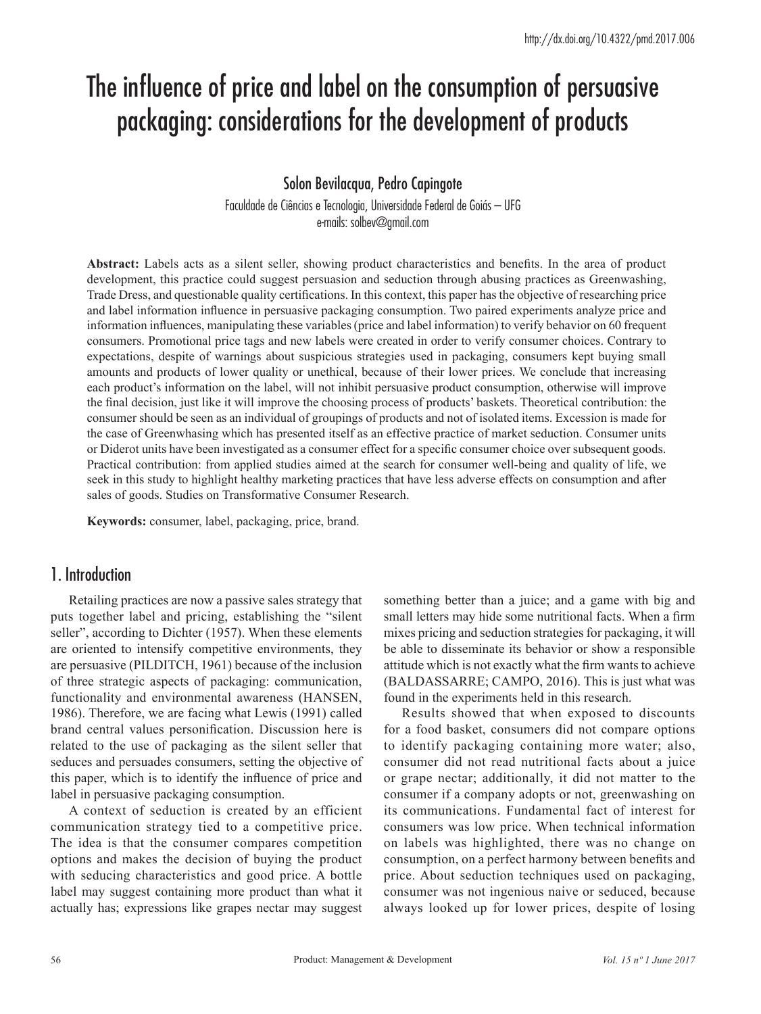# The influence of price and label on the consumption of persuasive packaging: considerations for the development of products

## Solon Bevilacqua, Pedro Capingote

Faculdade de Ciências e Tecnologia, Universidade Federal de Goiás – UFG e-mails: solbev@gmail.com

**Abstract:** Labels acts as a silent seller, showing product characteristics and benefits. In the area of product development, this practice could suggest persuasion and seduction through abusing practices as Greenwashing, Trade Dress, and questionable quality certifications. In this context, this paper has the objective of researching price and label information influence in persuasive packaging consumption. Two paired experiments analyze price and information influences, manipulating these variables (price and label information) to verify behavior on 60 frequent consumers. Promotional price tags and new labels were created in order to verify consumer choices. Contrary to expectations, despite of warnings about suspicious strategies used in packaging, consumers kept buying small amounts and products of lower quality or unethical, because of their lower prices. We conclude that increasing each product's information on the label, will not inhibit persuasive product consumption, otherwise will improve the final decision, just like it will improve the choosing process of products' baskets. Theoretical contribution: the consumer should be seen as an individual of groupings of products and not of isolated items. Excession is made for the case of Greenwhasing which has presented itself as an effective practice of market seduction. Consumer units or Diderot units have been investigated as a consumer effect for a specific consumer choice over subsequent goods. Practical contribution: from applied studies aimed at the search for consumer well-being and quality of life, we seek in this study to highlight healthy marketing practices that have less adverse effects on consumption and after sales of goods. Studies on Transformative Consumer Research.

**Keywords:** consumer, label, packaging, price, brand.

## 1. Introduction

Retailing practices are now a passive sales strategy that puts together label and pricing, establishing the "silent seller", according to Dichter (1957). When these elements are oriented to intensify competitive environments, they are persuasive (PILDITCH, 1961) because of the inclusion of three strategic aspects of packaging: communication, functionality and environmental awareness (HANSEN, 1986). Therefore, we are facing what Lewis (1991) called brand central values personification. Discussion here is related to the use of packaging as the silent seller that seduces and persuades consumers, setting the objective of this paper, which is to identify the influence of price and label in persuasive packaging consumption.

A context of seduction is created by an efficient communication strategy tied to a competitive price. The idea is that the consumer compares competition options and makes the decision of buying the product with seducing characteristics and good price. A bottle label may suggest containing more product than what it actually has; expressions like grapes nectar may suggest

something better than a juice; and a game with big and small letters may hide some nutritional facts. When a firm mixes pricing and seduction strategies for packaging, it will be able to disseminate its behavior or show a responsible attitude which is not exactly what the firm wants to achieve (BALDASSARRE; CAMPO, 2016). This is just what was found in the experiments held in this research.

Results showed that when exposed to discounts for a food basket, consumers did not compare options to identify packaging containing more water; also, consumer did not read nutritional facts about a juice or grape nectar; additionally, it did not matter to the consumer if a company adopts or not, greenwashing on its communications. Fundamental fact of interest for consumers was low price. When technical information on labels was highlighted, there was no change on consumption, on a perfect harmony between benefits and price. About seduction techniques used on packaging, consumer was not ingenious naive or seduced, because always looked up for lower prices, despite of losing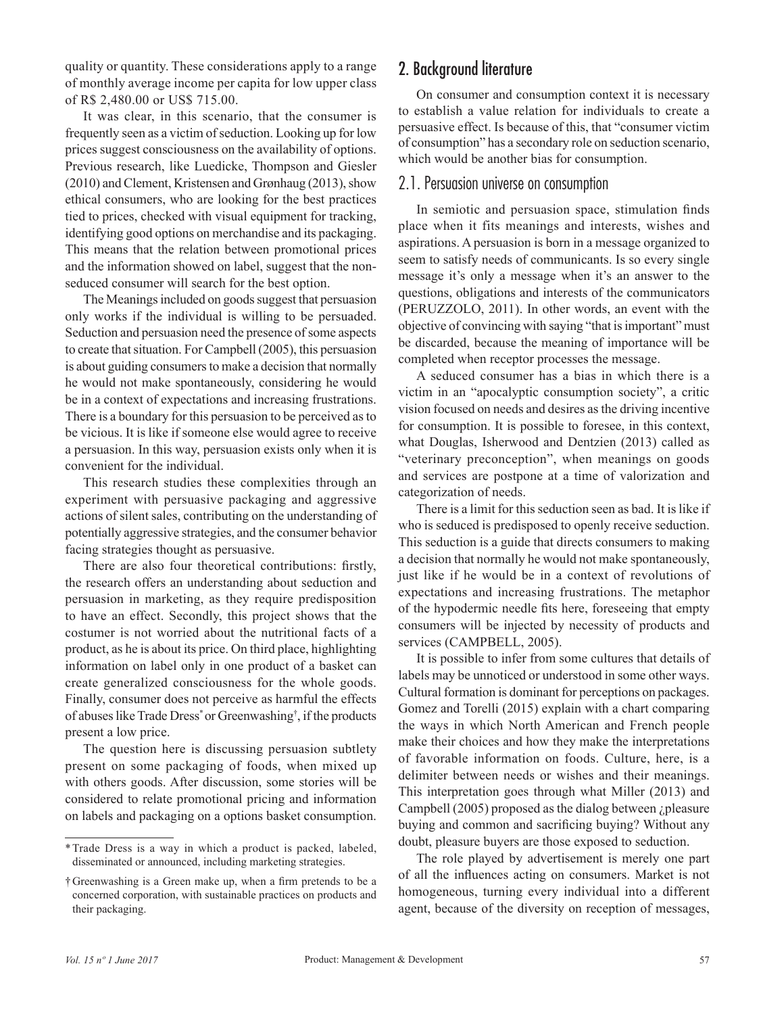quality or quantity. These considerations apply to a range of monthly average income per capita for low upper class of R\$ 2,480.00 or US\$ 715.00.

It was clear, in this scenario, that the consumer is frequently seen as a victim of seduction. Looking up for low prices suggest consciousness on the availability of options. Previous research, like Luedicke, Thompson and Giesler (2010) and Clement, Kristensen and Grønhaug (2013), show ethical consumers, who are looking for the best practices tied to prices, checked with visual equipment for tracking, identifying good options on merchandise and its packaging. This means that the relation between promotional prices and the information showed on label, suggest that the nonseduced consumer will search for the best option.

The Meanings included on goods suggest that persuasion only works if the individual is willing to be persuaded. Seduction and persuasion need the presence of some aspects to create that situation. For Campbell (2005), this persuasion is about guiding consumers to make a decision that normally he would not make spontaneously, considering he would be in a context of expectations and increasing frustrations. There is a boundary for this persuasion to be perceived as to be vicious. It is like if someone else would agree to receive a persuasion. In this way, persuasion exists only when it is convenient for the individual.

This research studies these complexities through an experiment with persuasive packaging and aggressive actions of silent sales, contributing on the understanding of potentially aggressive strategies, and the consumer behavior facing strategies thought as persuasive.

There are also four theoretical contributions: firstly, the research offers an understanding about seduction and persuasion in marketing, as they require predisposition to have an effect. Secondly, this project shows that the costumer is not worried about the nutritional facts of a product, as he is about its price. On third place, highlighting information on label only in one product of a basket can create generalized consciousness for the whole goods. Finally, consumer does not perceive as harmful the effects of abuses like Trade Dress\* or Greenwashing† , if the products present a low price.

The question here is discussing persuasion subtlety present on some packaging of foods, when mixed up with others goods. After discussion, some stories will be considered to relate promotional pricing and information on labels and packaging on a options basket consumption.

## 2. Background literature

On consumer and consumption context it is necessary to establish a value relation for individuals to create a persuasive effect. Is because of this, that "consumer victim of consumption" has a secondary role on seduction scenario, which would be another bias for consumption.

#### 2.1. Persuasion universe on consumption

In semiotic and persuasion space, stimulation finds place when it fits meanings and interests, wishes and aspirations. A persuasion is born in a message organized to seem to satisfy needs of communicants. Is so every single message it's only a message when it's an answer to the questions, obligations and interests of the communicators (PERUZZOLO, 2011). In other words, an event with the objective of convincing with saying "that is important" must be discarded, because the meaning of importance will be completed when receptor processes the message.

A seduced consumer has a bias in which there is a victim in an "apocalyptic consumption society", a critic vision focused on needs and desires as the driving incentive for consumption. It is possible to foresee, in this context, what Douglas, Isherwood and Dentzien (2013) called as "veterinary preconception", when meanings on goods and services are postpone at a time of valorization and categorization of needs.

There is a limit for this seduction seen as bad. It is like if who is seduced is predisposed to openly receive seduction. This seduction is a guide that directs consumers to making a decision that normally he would not make spontaneously, just like if he would be in a context of revolutions of expectations and increasing frustrations. The metaphor of the hypodermic needle fits here, foreseeing that empty consumers will be injected by necessity of products and services (CAMPBELL, 2005).

It is possible to infer from some cultures that details of labels may be unnoticed or understood in some other ways. Cultural formation is dominant for perceptions on packages. Gomez and Torelli (2015) explain with a chart comparing the ways in which North American and French people make their choices and how they make the interpretations of favorable information on foods. Culture, here, is a delimiter between needs or wishes and their meanings. This interpretation goes through what Miller (2013) and Campbell (2005) proposed as the dialog between ¿pleasure buying and common and sacrificing buying? Without any doubt, pleasure buyers are those exposed to seduction.

The role played by advertisement is merely one part of all the influences acting on consumers. Market is not homogeneous, turning every individual into a different agent, because of the diversity on reception of messages,

<sup>\*</sup>Trade Dress is a way in which a product is packed, labeled, disseminated or announced, including marketing strategies.

<sup>†</sup>Greenwashing is a Green make up, when a firm pretends to be a concerned corporation, with sustainable practices on products and their packaging.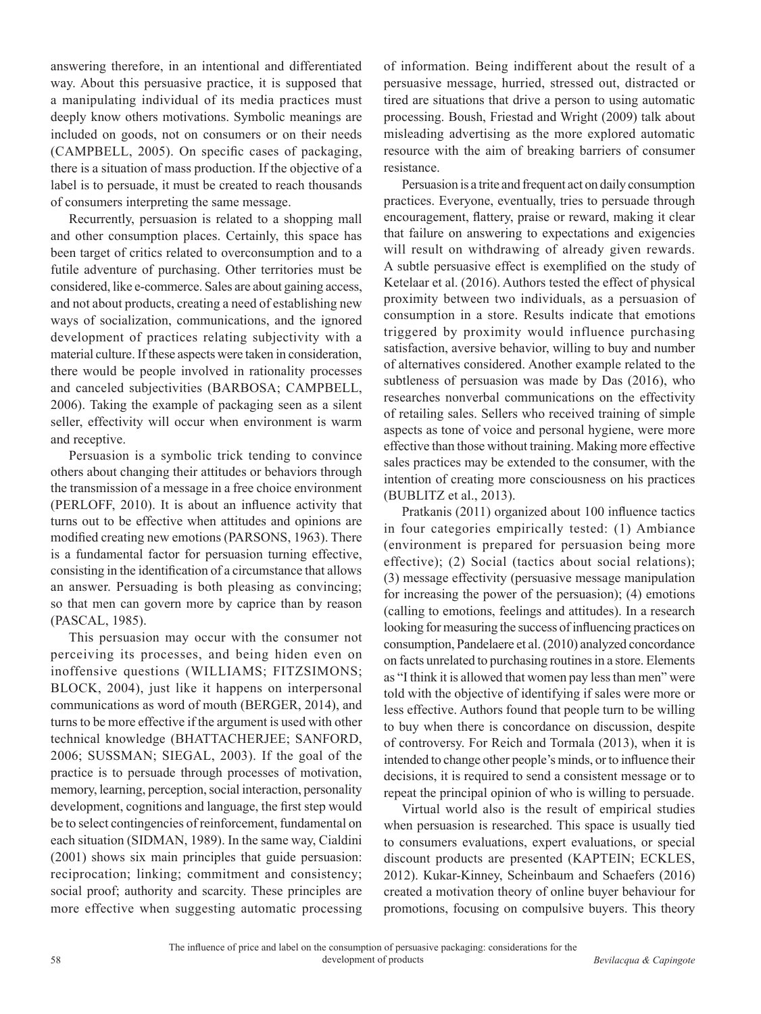answering therefore, in an intentional and differentiated way. About this persuasive practice, it is supposed that a manipulating individual of its media practices must deeply know others motivations. Symbolic meanings are included on goods, not on consumers or on their needs (CAMPBELL, 2005). On specific cases of packaging, there is a situation of mass production. If the objective of a label is to persuade, it must be created to reach thousands of consumers interpreting the same message.

Recurrently, persuasion is related to a shopping mall and other consumption places. Certainly, this space has been target of critics related to overconsumption and to a futile adventure of purchasing. Other territories must be considered, like e-commerce. Sales are about gaining access, and not about products, creating a need of establishing new ways of socialization, communications, and the ignored development of practices relating subjectivity with a material culture. If these aspects were taken in consideration, there would be people involved in rationality processes and canceled subjectivities (BARBOSA; CAMPBELL, 2006). Taking the example of packaging seen as a silent seller, effectivity will occur when environment is warm and receptive.

Persuasion is a symbolic trick tending to convince others about changing their attitudes or behaviors through the transmission of a message in a free choice environment (PERLOFF, 2010). It is about an influence activity that turns out to be effective when attitudes and opinions are modified creating new emotions (PARSONS, 1963). There is a fundamental factor for persuasion turning effective, consisting in the identification of a circumstance that allows an answer. Persuading is both pleasing as convincing; so that men can govern more by caprice than by reason (PASCAL, 1985).

This persuasion may occur with the consumer not perceiving its processes, and being hiden even on inoffensive questions (WILLIAMS; FITZSIMONS; BLOCK, 2004), just like it happens on interpersonal communications as word of mouth (BERGER, 2014), and turns to be more effective if the argument is used with other technical knowledge (BHATTACHERJEE; SANFORD, 2006; SUSSMAN; SIEGAL, 2003). If the goal of the practice is to persuade through processes of motivation, memory, learning, perception, social interaction, personality development, cognitions and language, the first step would be to select contingencies of reinforcement, fundamental on each situation (SIDMAN, 1989). In the same way, Cialdini (2001) shows six main principles that guide persuasion: reciprocation; linking; commitment and consistency; social proof; authority and scarcity. These principles are more effective when suggesting automatic processing

of information. Being indifferent about the result of a persuasive message, hurried, stressed out, distracted or tired are situations that drive a person to using automatic processing. Boush, Friestad and Wright (2009) talk about misleading advertising as the more explored automatic resource with the aim of breaking barriers of consumer resistance.

Persuasion is a trite and frequent act on daily consumption practices. Everyone, eventually, tries to persuade through encouragement, flattery, praise or reward, making it clear that failure on answering to expectations and exigencies will result on withdrawing of already given rewards. A subtle persuasive effect is exemplified on the study of Ketelaar et al. (2016). Authors tested the effect of physical proximity between two individuals, as a persuasion of consumption in a store. Results indicate that emotions triggered by proximity would influence purchasing satisfaction, aversive behavior, willing to buy and number of alternatives considered. Another example related to the subtleness of persuasion was made by Das (2016), who researches nonverbal communications on the effectivity of retailing sales. Sellers who received training of simple aspects as tone of voice and personal hygiene, were more effective than those without training. Making more effective sales practices may be extended to the consumer, with the intention of creating more consciousness on his practices (BUBLITZ et al., 2013).

Pratkanis (2011) organized about 100 influence tactics in four categories empirically tested: (1) Ambiance (environment is prepared for persuasion being more effective); (2) Social (tactics about social relations); (3) message effectivity (persuasive message manipulation for increasing the power of the persuasion); (4) emotions (calling to emotions, feelings and attitudes). In a research looking for measuring the success of influencing practices on consumption, Pandelaere et al. (2010) analyzed concordance on facts unrelated to purchasing routines in a store. Elements as "I think it is allowed that women pay less than men" were told with the objective of identifying if sales were more or less effective. Authors found that people turn to be willing to buy when there is concordance on discussion, despite of controversy. For Reich and Tormala (2013), when it is intended to change other people's minds, or to influence their decisions, it is required to send a consistent message or to repeat the principal opinion of who is willing to persuade.

Virtual world also is the result of empirical studies when persuasion is researched. This space is usually tied to consumers evaluations, expert evaluations, or special discount products are presented (KAPTEIN; ECKLES, 2012). Kukar-Kinney, Scheinbaum and Schaefers (2016) created a motivation theory of online buyer behaviour for promotions, focusing on compulsive buyers. This theory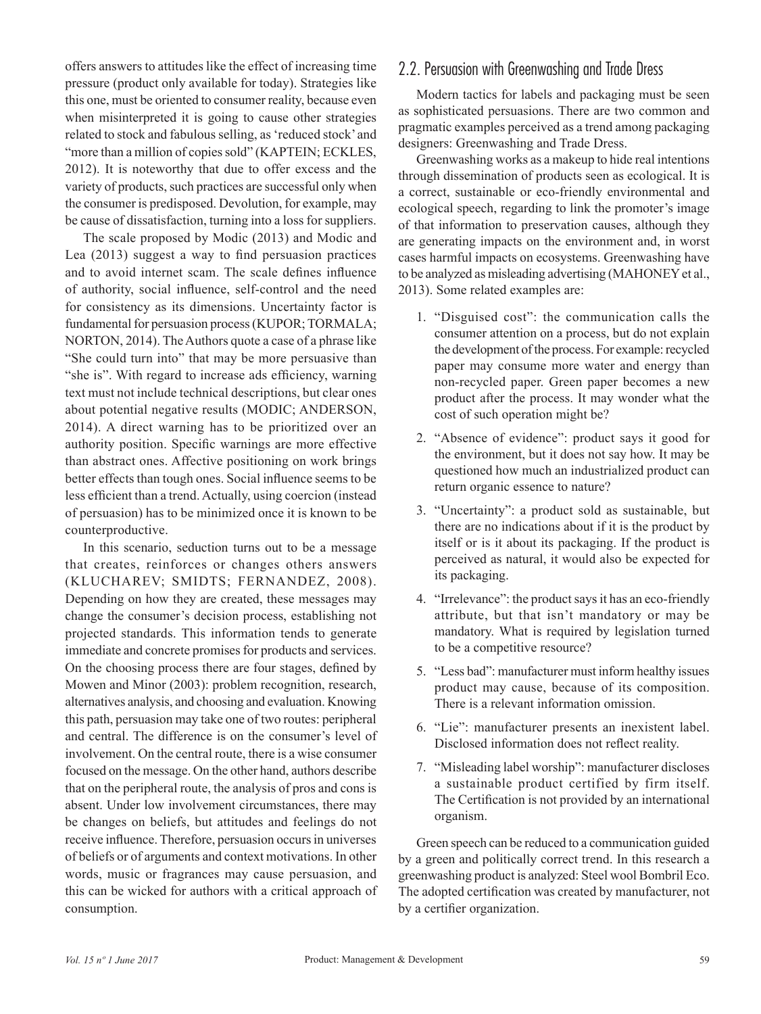offers answers to attitudes like the effect of increasing time pressure (product only available for today). Strategies like this one, must be oriented to consumer reality, because even when misinterpreted it is going to cause other strategies related to stock and fabulous selling, as 'reduced stock' and "more than a million of copies sold" (KAPTEIN; ECKLES, 2012). It is noteworthy that due to offer excess and the variety of products, such practices are successful only when the consumer is predisposed. Devolution, for example, may be cause of dissatisfaction, turning into a loss for suppliers.

The scale proposed by Modic (2013) and Modic and Lea (2013) suggest a way to find persuasion practices and to avoid internet scam. The scale defines influence of authority, social influence, self-control and the need for consistency as its dimensions. Uncertainty factor is fundamental for persuasion process (KUPOR; TORMALA; NORTON, 2014). The Authors quote a case of a phrase like "She could turn into" that may be more persuasive than "she is". With regard to increase ads efficiency, warning text must not include technical descriptions, but clear ones about potential negative results (MODIC; ANDERSON, 2014). A direct warning has to be prioritized over an authority position. Specific warnings are more effective than abstract ones. Affective positioning on work brings better effects than tough ones. Social influence seems to be less efficient than a trend. Actually, using coercion (instead of persuasion) has to be minimized once it is known to be counterproductive.

In this scenario, seduction turns out to be a message that creates, reinforces or changes others answers (KLUCHAREV; SMIDTS; FERNANDEZ, 2008). Depending on how they are created, these messages may change the consumer's decision process, establishing not projected standards. This information tends to generate immediate and concrete promises for products and services. On the choosing process there are four stages, defined by Mowen and Minor (2003): problem recognition, research, alternatives analysis, and choosing and evaluation. Knowing this path, persuasion may take one of two routes: peripheral and central. The difference is on the consumer's level of involvement. On the central route, there is a wise consumer focused on the message. On the other hand, authors describe that on the peripheral route, the analysis of pros and cons is absent. Under low involvement circumstances, there may be changes on beliefs, but attitudes and feelings do not receive influence. Therefore, persuasion occurs in universes of beliefs or of arguments and context motivations. In other words, music or fragrances may cause persuasion, and this can be wicked for authors with a critical approach of consumption.

## 2.2. Persuasion with Greenwashing and Trade Dress

Modern tactics for labels and packaging must be seen as sophisticated persuasions. There are two common and pragmatic examples perceived as a trend among packaging designers: Greenwashing and Trade Dress.

Greenwashing works as a makeup to hide real intentions through dissemination of products seen as ecological. It is a correct, sustainable or eco-friendly environmental and ecological speech, regarding to link the promoter's image of that information to preservation causes, although they are generating impacts on the environment and, in worst cases harmful impacts on ecosystems. Greenwashing have to be analyzed as misleading advertising (MAHONEY et al., 2013). Some related examples are:

- 1. "Disguised cost": the communication calls the consumer attention on a process, but do not explain the development of the process. For example: recycled paper may consume more water and energy than non-recycled paper. Green paper becomes a new product after the process. It may wonder what the cost of such operation might be?
- 2. "Absence of evidence": product says it good for the environment, but it does not say how. It may be questioned how much an industrialized product can return organic essence to nature?
- 3. "Uncertainty": a product sold as sustainable, but there are no indications about if it is the product by itself or is it about its packaging. If the product is perceived as natural, it would also be expected for its packaging.
- 4. "Irrelevance": the product says it has an eco-friendly attribute, but that isn't mandatory or may be mandatory. What is required by legislation turned to be a competitive resource?
- 5. "Less bad": manufacturer must inform healthy issues product may cause, because of its composition. There is a relevant information omission.
- 6. "Lie": manufacturer presents an inexistent label. Disclosed information does not reflect reality.
- 7. "Misleading label worship": manufacturer discloses a sustainable product certified by firm itself. The Certification is not provided by an international organism.

Green speech can be reduced to a communication guided by a green and politically correct trend. In this research a greenwashing product is analyzed: Steel wool Bombril Eco. The adopted certification was created by manufacturer, not by a certifier organization.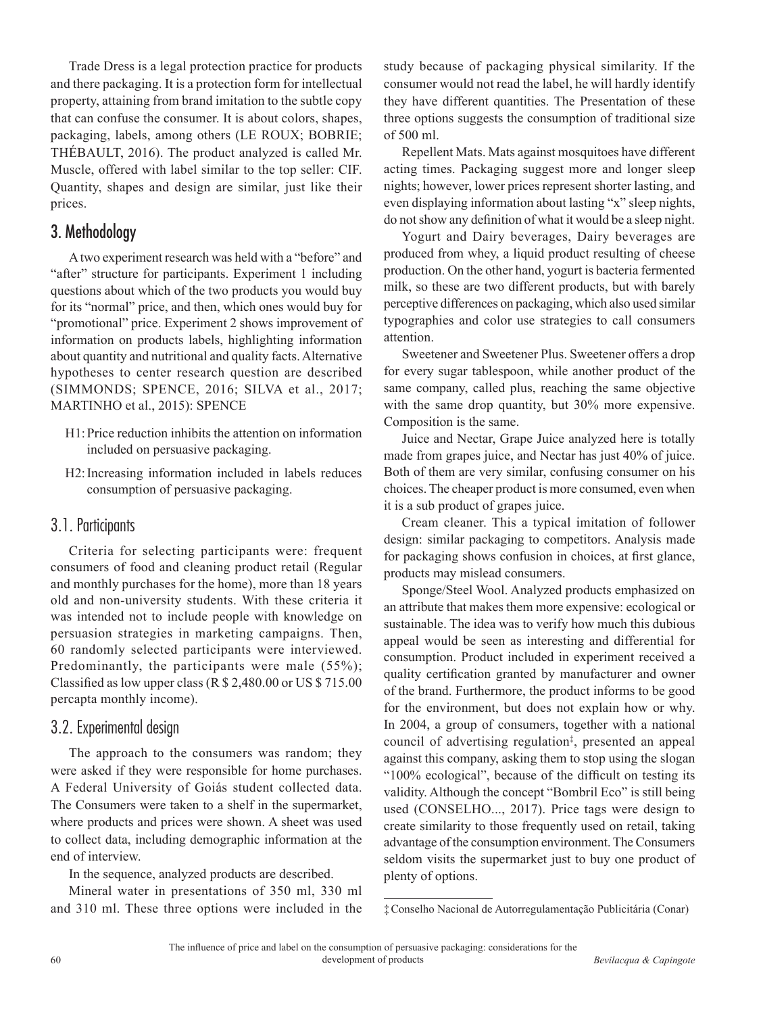Trade Dress is a legal protection practice for products and there packaging. It is a protection form for intellectual property, attaining from brand imitation to the subtle copy that can confuse the consumer. It is about colors, shapes, packaging, labels, among others (LE ROUX; BOBRIE; THÉBAULT, 2016). The product analyzed is called Mr. Muscle, offered with label similar to the top seller: CIF. Quantity, shapes and design are similar, just like their prices.

## 3. Methodology

A two experiment research was held with a "before" and "after" structure for participants. Experiment 1 including questions about which of the two products you would buy for its "normal" price, and then, which ones would buy for "promotional" price. Experiment 2 shows improvement of information on products labels, highlighting information about quantity and nutritional and quality facts. Alternative hypotheses to center research question are described (SIMMONDS; SPENCE, 2016; SILVA et al., 2017; MARTINHO et al., 2015): SPENCE

- H1:Price reduction inhibits the attention on information included on persuasive packaging.
- H2:Increasing information included in labels reduces consumption of persuasive packaging.

#### 3.1. Participants

Criteria for selecting participants were: frequent consumers of food and cleaning product retail (Regular and monthly purchases for the home), more than 18 years old and non-university students. With these criteria it was intended not to include people with knowledge on persuasion strategies in marketing campaigns. Then, 60 randomly selected participants were interviewed. Predominantly, the participants were male (55%); Classified as low upper class (R \$ 2,480.00 or US \$ 715.00 percapta monthly income).

#### 3.2. Experimental design

The approach to the consumers was random; they were asked if they were responsible for home purchases. A Federal University of Goiás student collected data. The Consumers were taken to a shelf in the supermarket, where products and prices were shown. A sheet was used to collect data, including demographic information at the end of interview.

In the sequence, analyzed products are described.

Mineral water in presentations of 350 ml, 330 ml and 310 ml. These three options were included in the study because of packaging physical similarity. If the consumer would not read the label, he will hardly identify they have different quantities. The Presentation of these three options suggests the consumption of traditional size of 500 ml.

Repellent Mats. Mats against mosquitoes have different acting times. Packaging suggest more and longer sleep nights; however, lower prices represent shorter lasting, and even displaying information about lasting "x" sleep nights, do not show any definition of what it would be a sleep night.

Yogurt and Dairy beverages, Dairy beverages are produced from whey, a liquid product resulting of cheese production. On the other hand, yogurt is bacteria fermented milk, so these are two different products, but with barely perceptive differences on packaging, which also used similar typographies and color use strategies to call consumers attention.

Sweetener and Sweetener Plus. Sweetener offers a drop for every sugar tablespoon, while another product of the same company, called plus, reaching the same objective with the same drop quantity, but 30% more expensive. Composition is the same.

Juice and Nectar, Grape Juice analyzed here is totally made from grapes juice, and Nectar has just 40% of juice. Both of them are very similar, confusing consumer on his choices. The cheaper product is more consumed, even when it is a sub product of grapes juice.

Cream cleaner. This a typical imitation of follower design: similar packaging to competitors. Analysis made for packaging shows confusion in choices, at first glance, products may mislead consumers.

Sponge/Steel Wool. Analyzed products emphasized on an attribute that makes them more expensive: ecological or sustainable. The idea was to verify how much this dubious appeal would be seen as interesting and differential for consumption. Product included in experiment received a quality certification granted by manufacturer and owner of the brand. Furthermore, the product informs to be good for the environment, but does not explain how or why. In 2004, a group of consumers, together with a national council of advertising regulation‡ , presented an appeal against this company, asking them to stop using the slogan "100% ecological", because of the difficult on testing its validity. Although the concept "Bombril Eco" is still being used (CONSELHO..., 2017). Price tags were design to create similarity to those frequently used on retail, taking advantage of the consumption environment. The Consumers seldom visits the supermarket just to buy one product of plenty of options.

<sup>‡</sup>Conselho Nacional de Autorregulamentação Publicitária (Conar)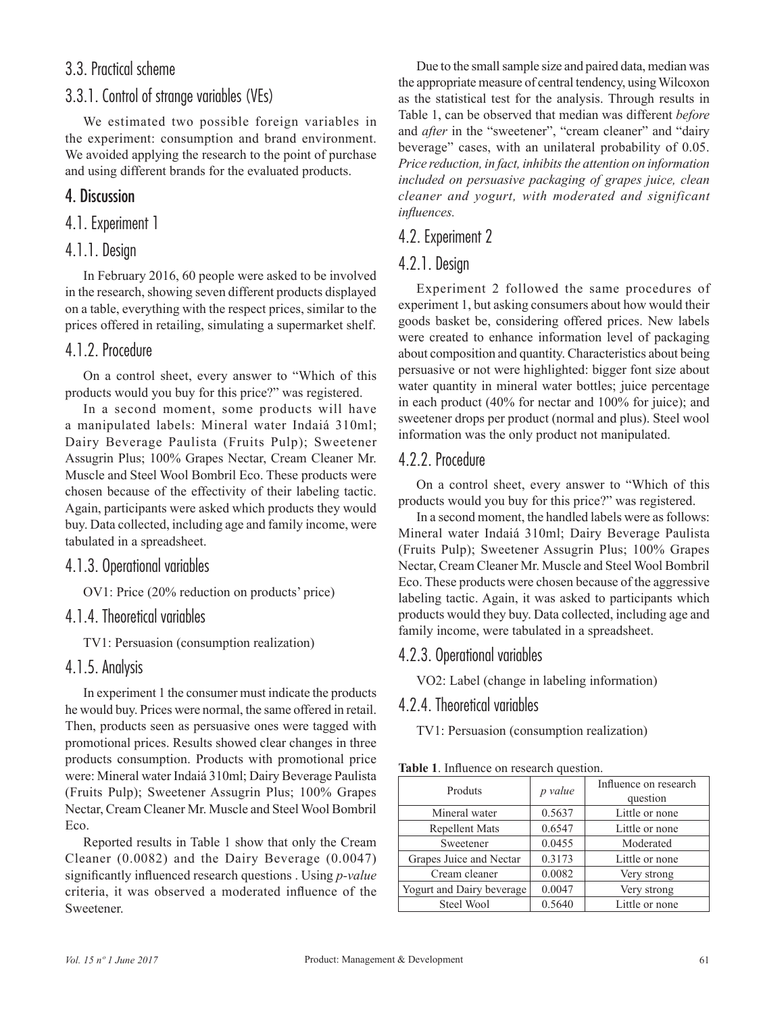## 3.3. Practical scheme

## 3.3.1. Control of strange variables (VEs)

We estimated two possible foreign variables in the experiment: consumption and brand environment. We avoided applying the research to the point of purchase and using different brands for the evaluated products.

## 4. Discussion

#### 4.1. Experiment 1

#### 4.1.1. Design

In February 2016, 60 people were asked to be involved in the research, showing seven different products displayed on a table, everything with the respect prices, similar to the prices offered in retailing, simulating a supermarket shelf.

#### 4.1.2. Procedure

On a control sheet, every answer to "Which of this products would you buy for this price?" was registered.

In a second moment, some products will have a manipulated labels: Mineral water Indaiá 310ml; Dairy Beverage Paulista (Fruits Pulp); Sweetener Assugrin Plus; 100% Grapes Nectar, Cream Cleaner Mr. Muscle and Steel Wool Bombril Eco. These products were chosen because of the effectivity of their labeling tactic. Again, participants were asked which products they would buy. Data collected, including age and family income, were tabulated in a spreadsheet.

#### 4.1.3. Operational variables

OV1: Price (20% reduction on products' price)

#### 4.1.4. Theoretical variables

TV1: Persuasion (consumption realization)

#### 4.1.5. Analysis

In experiment 1 the consumer must indicate the products he would buy. Prices were normal, the same offered in retail. Then, products seen as persuasive ones were tagged with promotional prices. Results showed clear changes in three products consumption. Products with promotional price were: Mineral water Indaiá 310ml; Dairy Beverage Paulista (Fruits Pulp); Sweetener Assugrin Plus; 100% Grapes Nectar, Cream Cleaner Mr. Muscle and Steel Wool Bombril Eco.

Reported results in Table 1 show that only the Cream Cleaner (0.0082) and the Dairy Beverage (0.0047) significantly influenced research questions . Using *p-value* criteria, it was observed a moderated influence of the Sweetener.

Due to the small sample size and paired data, median was the appropriate measure of central tendency, using Wilcoxon as the statistical test for the analysis. Through results in Table 1, can be observed that median was different *before* and *after* in the "sweetener", "cream cleaner" and "dairy beverage" cases, with an unilateral probability of 0.05. *Price reduction, in fact, inhibits the attention on information included on persuasive packaging of grapes juice, clean cleaner and yogurt, with moderated and significant influences.*

#### 4.2. Experiment 2

### 4.2.1. Design

Experiment 2 followed the same procedures of experiment 1, but asking consumers about how would their goods basket be, considering offered prices. New labels were created to enhance information level of packaging about composition and quantity. Characteristics about being persuasive or not were highlighted: bigger font size about water quantity in mineral water bottles; juice percentage in each product (40% for nectar and 100% for juice); and sweetener drops per product (normal and plus). Steel wool information was the only product not manipulated.

### 4.2.2. Procedure

On a control sheet, every answer to "Which of this products would you buy for this price?" was registered.

In a second moment, the handled labels were as follows: Mineral water Indaiá 310ml; Dairy Beverage Paulista (Fruits Pulp); Sweetener Assugrin Plus; 100% Grapes Nectar, Cream Cleaner Mr. Muscle and Steel Wool Bombril Eco. These products were chosen because of the aggressive labeling tactic. Again, it was asked to participants which products would they buy. Data collected, including age and family income, were tabulated in a spreadsheet.

#### 4.2.3. Operational variables

VO2: Label (change in labeling information)

## 4.2.4. Theoretical variables

TV1: Persuasion (consumption realization)

| Table 1. Influence on research question. |  |
|------------------------------------------|--|
|------------------------------------------|--|

| Produts                           | p value | Influence on research<br>question |  |
|-----------------------------------|---------|-----------------------------------|--|
| Mineral water                     | 0.5637  | Little or none                    |  |
| <b>Repellent Mats</b>             | 0.6547  |                                   |  |
| Sweetener                         | 0.0455  | Moderated                         |  |
| 0.3173<br>Grapes Juice and Nectar |         | Little or none                    |  |
| Cream cleaner                     | 0.0082  | Very strong                       |  |
| Yogurt and Dairy beverage         | 0.0047  | Very strong                       |  |
| Steel Wool                        | 0.5640  | Little or none                    |  |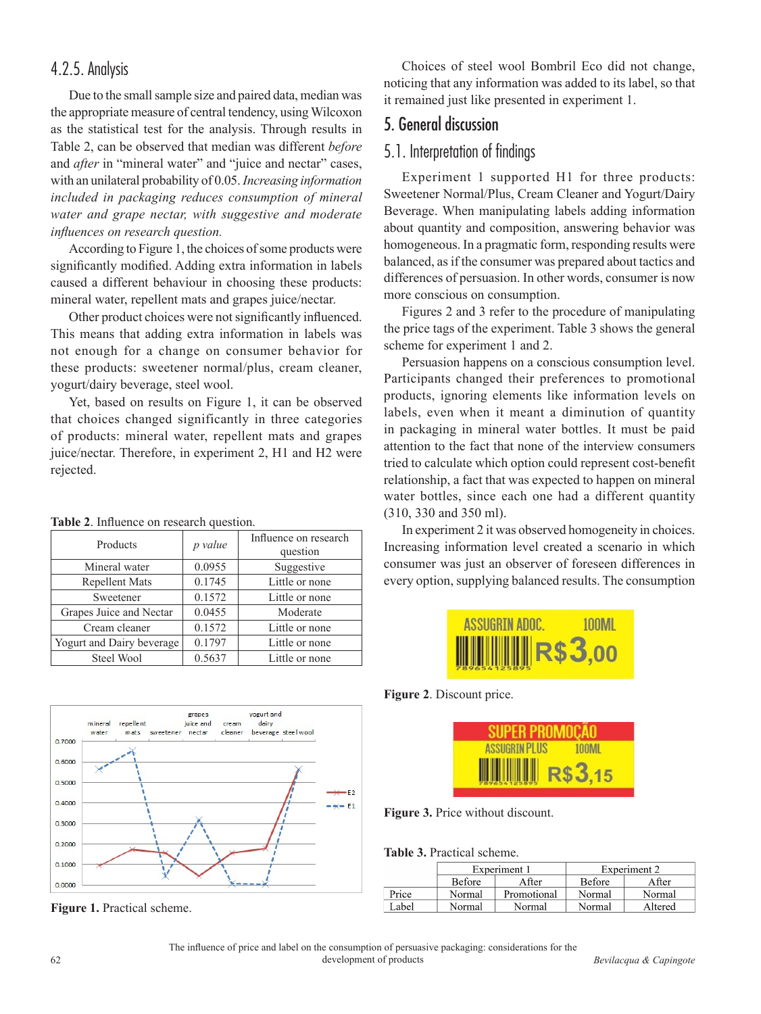## 4.2.5. Analysis

Due to the small sample size and paired data, median was the appropriate measure of central tendency, using Wilcoxon as the statistical test for the analysis. Through results in Table 2, can be observed that median was different *before* and *after* in "mineral water" and "juice and nectar" cases, with an unilateral probability of 0.05. *Increasing information included in packaging reduces consumption of mineral water and grape nectar, with suggestive and moderate influences on research question.*

According to Figure 1, the choices of some products were significantly modified. Adding extra information in labels caused a different behaviour in choosing these products: mineral water, repellent mats and grapes juice/nectar.

Other product choices were not significantly influenced. This means that adding extra information in labels was not enough for a change on consumer behavior for these products: sweetener normal/plus, cream cleaner, yogurt/dairy beverage, steel wool.

Yet, based on results on Figure 1, it can be observed that choices changed significantly in three categories of products: mineral water, repellent mats and grapes juice/nectar. Therefore, in experiment 2, H1 and H2 were rejected.

| <b>rapic 2.</b> Inhuence on research question. |                                   |  |  |  |
|------------------------------------------------|-----------------------------------|--|--|--|
| p value                                        | Influence on research<br>question |  |  |  |
| 0.0955<br>Suggestive                           |                                   |  |  |  |
| 0.1745                                         | Little or none                    |  |  |  |
| 0.1572                                         | Little or none                    |  |  |  |
| 0.0455                                         | Moderate                          |  |  |  |
| 0.1572                                         | Little or none                    |  |  |  |
| 0.1797<br>Yogurt and Dairy beverage            | Little or none                    |  |  |  |
| 0.5637                                         | Little or none                    |  |  |  |
|                                                |                                   |  |  |  |





grapes

yogurt and

**Figure 1.** Practical scheme.

Choices of steel wool Bombril Eco did not change, noticing that any information was added to its label, so that it remained just like presented in experiment 1.

## 5. General discussion

#### 5.1. Interpretation of findings

Experiment 1 supported H1 for three products: Sweetener Normal/Plus, Cream Cleaner and Yogurt/Dairy Beverage. When manipulating labels adding information about quantity and composition, answering behavior was homogeneous. In a pragmatic form, responding results were balanced, as if the consumer was prepared about tactics and differences of persuasion. In other words, consumer is now more conscious on consumption.

Figures 2 and 3 refer to the procedure of manipulating the price tags of the experiment. Table 3 shows the general scheme for experiment 1 and 2.

Persuasion happens on a conscious consumption level. Participants changed their preferences to promotional products, ignoring elements like information levels on labels, even when it meant a diminution of quantity in packaging in mineral water bottles. It must be paid attention to the fact that none of the interview consumers tried to calculate which option could represent cost-benefit relationship, a fact that was expected to happen on mineral water bottles, since each one had a different quantity (310, 330 and 350 ml).

In experiment 2 it was observed homogeneity in choices. Increasing information level created a scenario in which consumer was just an observer of foreseen differences in every option, supplying balanced results. The consumption

| ASSUGRIN ADOC.               | <b>100ML</b> |
|------------------------------|--------------|
| <b>WWW.WINGRETTER</b> \$3,00 |              |

**Figure 2**. Discount price.

| <b>SUPER PROMOCAO</b> |              |
|-----------------------|--------------|
| <b>ASSUGRIN PLUS</b>  | <b>TOOML</b> |
| <b>WWW R\$3,15</b>    |              |

**Figure 3.** Price without discount.

#### **Table 3.** Practical scheme.

|       | Experiment 1 |             | Experiment 2 |         |
|-------|--------------|-------------|--------------|---------|
|       | Before       | A fter      | Before       | A fter  |
| Price | Normal       | Promotional | Normal       | Normal  |
| Label | Normal       | Normal      | Normal       | Altered |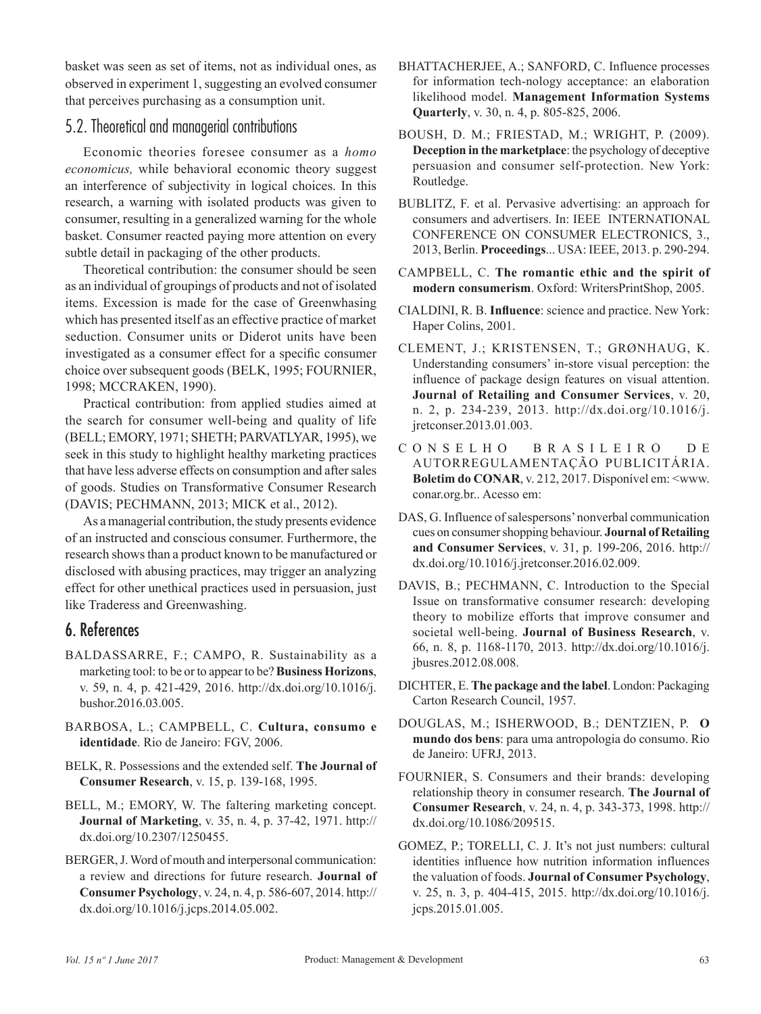basket was seen as set of items, not as individual ones, as observed in experiment 1, suggesting an evolved consumer that perceives purchasing as a consumption unit.

### 5.2. Theoretical and managerial contributions

Economic theories foresee consumer as a *homo economicus,* while behavioral economic theory suggest an interference of subjectivity in logical choices. In this research, a warning with isolated products was given to consumer, resulting in a generalized warning for the whole basket. Consumer reacted paying more attention on every subtle detail in packaging of the other products.

Theoretical contribution: the consumer should be seen as an individual of groupings of products and not of isolated items. Excession is made for the case of Greenwhasing which has presented itself as an effective practice of market seduction. Consumer units or Diderot units have been investigated as a consumer effect for a specific consumer choice over subsequent goods (BELK, 1995; FOURNIER, 1998; MCCRAKEN, 1990).

Practical contribution: from applied studies aimed at the search for consumer well-being and quality of life (BELL; EMORY, 1971; SHETH; PARVATLYAR, 1995), we seek in this study to highlight healthy marketing practices that have less adverse effects on consumption and after sales of goods. Studies on Transformative Consumer Research (DAVIS; PECHMANN, 2013; MICK et al., 2012).

As a managerial contribution, the study presents evidence of an instructed and conscious consumer. Furthermore, the research shows than a product known to be manufactured or disclosed with abusing practices, may trigger an analyzing effect for other unethical practices used in persuasion, just like Traderess and Greenwashing.

## 6. References

- BALDASSARRE, F.; CAMPO, R. Sustainability as a marketing tool: to be or to appear to be? **Business Horizons**, v. 59, n. 4, p. 421-429, 2016. [http://dx.doi.org/10.1016/j.](http://dx.doi.org/10.1016/j.bushor.2016.03.005) [bushor.2016.03.005.](http://dx.doi.org/10.1016/j.bushor.2016.03.005)
- BARBOSA, L.; CAMPBELL, C. **Cultura, consumo e identidade**. Rio de Janeiro: FGV, 2006.
- BELK, R. Possessions and the extended self. **The Journal of Consumer Research**, v. 15, p. 139-168, 1995.
- BELL, M.; EMORY, W. The faltering marketing concept. **Journal of Marketing**, v. 35, n. 4, p. 37-42, 1971. [http://](http://dx.doi.org/10.2307/1250455) [dx.doi.org/10.2307/1250455](http://dx.doi.org/10.2307/1250455).
- BERGER, J. Word of mouth and interpersonal communication: a review and directions for future research. **Journal of Consumer Psychology**, v. 24, n. 4, p. 586-607, 2014. [http://](http://dx.doi.org/10.1016/j.jcps.2014.05.002) [dx.doi.org/10.1016/j.jcps.2014.05.002](http://dx.doi.org/10.1016/j.jcps.2014.05.002).
- BHATTACHERJEE, A.; SANFORD, C. Influence processes for information tech-nology acceptance: an elaboration likelihood model. **Management Information Systems Quarterly**, v. 30, n. 4, p. 805-825, 2006.
- BOUSH, D. M.; FRIESTAD, M.; WRIGHT, P. (2009). **Deception in the marketplace**: the psychology of deceptive persuasion and consumer self-protection. New York: Routledge.
- BUBLITZ, F. et al. Pervasive advertising: an approach for consumers and advertisers. In: IEEE INTERNATIONAL CONFERENCE ON CONSUMER ELECTRONICS, 3., 2013, Berlin. **Proceedings**... USA: IEEE, 2013. p. 290-294.
- CAMPBELL, C. **The romantic ethic and the spirit of modern consumerism**. Oxford: WritersPrintShop, 2005.
- CIALDINI, R. B. **Influence**: science and practice. New York: Haper Colins, 2001.
- CLEMENT, J.; KRISTENSEN, T.; GRØNHAUG, K. Understanding consumers' in-store visual perception: the influence of package design features on visual attention. **Journal of Retailing and Consumer Services**, v. 20, n. 2, p. 234-239, 2013. [http://dx.doi.org/10.1016/j.](http://dx.doi.org/10.1016/j.jretconser.2013.01.003) [jretconser.2013.01.003.](http://dx.doi.org/10.1016/j.jretconser.2013.01.003)
- C O N S E L H O B R A S I L E I R O D E AUTORREGULAMENTAÇÃO PUBLICITÁRIA. **Boletim do CONAR**, v. 212, 2017. Disponível em: <www. conar.org.br.. Acesso em:
- DAS, G. Influence of salespersons' nonverbal communication cues on consumer shopping behaviour. **Journal of Retailing and Consumer Services**, v. 31, p. 199-206, 2016. [http://](http://dx.doi.org/10.1016/j.jretconser.2016.02.009) [dx.doi.org/10.1016/j.jretconser.2016.02.009.](http://dx.doi.org/10.1016/j.jretconser.2016.02.009)
- DAVIS, B.; PECHMANN, C. Introduction to the Special Issue on transformative consumer research: developing theory to mobilize efforts that improve consumer and societal well-being. **Journal of Business Research**, v. 66, n. 8, p. 1168-1170, 2013. [http://dx.doi.org/10.1016/j.](http://dx.doi.org/10.1016/j.jbusres.2012.08.008) [jbusres.2012.08.008.](http://dx.doi.org/10.1016/j.jbusres.2012.08.008)
- DICHTER, E. **The package and the label**. London: Packaging Carton Research Council, 1957.
- DOUGLAS, M.; ISHERWOOD, B.; DENTZIEN, P. **O mundo dos bens**: para uma antropologia do consumo. Rio de Janeiro: UFRJ, 2013.
- FOURNIER, S. Consumers and their brands: developing relationship theory in consumer research. **The Journal of Consumer Research**, v. 24, n. 4, p. 343-373, 1998. [http://](http://dx.doi.org/10.1086/209515) [dx.doi.org/10.1086/209515](http://dx.doi.org/10.1086/209515).
- GOMEZ, P.; TORELLI, C. J. It's not just numbers: cultural identities influence how nutrition information influences the valuation of foods. **Journal of Consumer Psychology**, v. 25, n. 3, p. 404-415, 2015. [http://dx.doi.org/10.1016/j.](http://dx.doi.org/10.1016/j.jcps.2015.01.005) [jcps.2015.01.005.](http://dx.doi.org/10.1016/j.jcps.2015.01.005)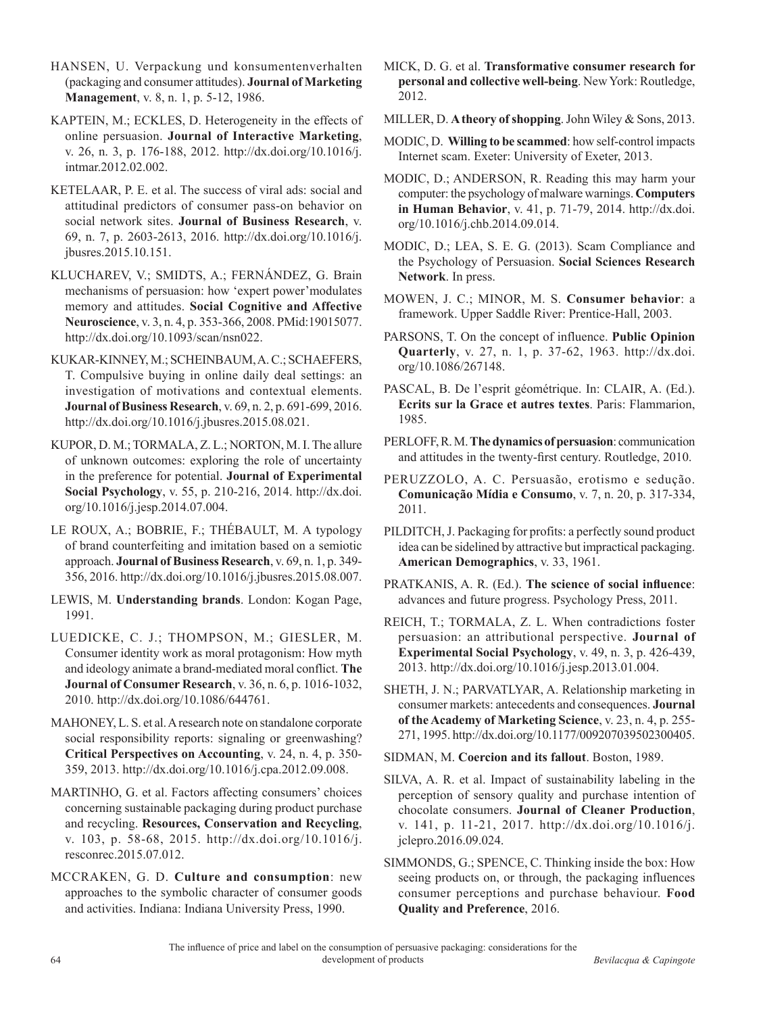HANSEN, U. Verpackung und konsumentenverhalten (packaging and consumer attitudes). **Journal of Marketing Management**, v. 8, n. 1, p. 5-12, 1986.

KAPTEIN, M.; ECKLES, D. Heterogeneity in the effects of online persuasion. **Journal of Interactive Marketing**, v. 26, n. 3, p. 176-188, 2012. [http://dx.doi.org/10.1016/j.](http://dx.doi.org/10.1016/j.intmar.2012.02.002) [intmar.2012.02.002](http://dx.doi.org/10.1016/j.intmar.2012.02.002).

KETELAAR, P. E. et al. The success of viral ads: social and attitudinal predictors of consumer pass-on behavior on social network sites. **Journal of Business Research**, v. 69, n. 7, p. 2603-2613, 2016. [http://dx.doi.org/10.1016/j.](http://dx.doi.org/10.1016/j.jbusres.2015.10.151) [jbusres.2015.10.151.](http://dx.doi.org/10.1016/j.jbusres.2015.10.151)

KLUCHAREV, V.; SMIDTS, A.; FERNÁNDEZ, G. Brain mechanisms of persuasion: how 'expert power'modulates memory and attitudes. **Social Cognitive and Affective Neuroscience**, v. 3, n. 4, p. 353-366, 2008[. PMid:19015077.](http://www.ncbi.nlm.nih.gov/entrez/query.fcgi?cmd=Retrieve&db=PubMed&list_uids=19015077&dopt=Abstract) <http://dx.doi.org/10.1093/scan/nsn022>.

KUKAR-KINNEY, M.; SCHEINBAUM, A. C.; SCHAEFERS, T. Compulsive buying in online daily deal settings: an investigation of motivations and contextual elements. **Journal of Business Research**, v. 69, n. 2, p. 691-699, 2016. <http://dx.doi.org/10.1016/j.jbusres.2015.08.021>.

KUPOR, D. M.; TORMALA, Z. L.; NORTON, M. I. The allure of unknown outcomes: exploring the role of uncertainty in the preference for potential. **Journal of Experimental Social Psychology**, v. 55, p. 210-216, 2014. [http://dx.doi.](http://dx.doi.org/10.1016/j.jesp.2014.07.004) [org/10.1016/j.jesp.2014.07.004](http://dx.doi.org/10.1016/j.jesp.2014.07.004).

LE ROUX, A.; BOBRIE, F.; THÉBAULT, M. A typology of brand counterfeiting and imitation based on a semiotic approach. **Journal of Business Research**, v. 69, n. 1, p. 349- 356, 2016. [http://dx.doi.org/10.1016/j.jbusres.2015.08.007.](http://dx.doi.org/10.1016/j.jbusres.2015.08.007)

LEWIS, M. **Understanding brands**. London: Kogan Page, 1991.

LUEDICKE, C. J.; THOMPSON, M.; GIESLER, M. Consumer identity work as moral protagonism: How myth and ideology animate a brand-mediated moral conflict. **The Journal of Consumer Research**, v. 36, n. 6, p. 1016-1032, 2010. [http://dx.doi.org/10.1086/644761.](http://dx.doi.org/10.1086/644761)

MAHONEY, L. S. et al. A research note on standalone corporate social responsibility reports: signaling or greenwashing? **Critical Perspectives on Accounting**, v. 24, n. 4, p. 350- 359, 2013. [http://dx.doi.org/10.1016/j.cpa.2012.09.008.](http://dx.doi.org/10.1016/j.cpa.2012.09.008)

MARTINHO, G. et al. Factors affecting consumers' choices concerning sustainable packaging during product purchase and recycling. **Resources, Conservation and Recycling**, v. 103, p. 58-68, 2015. [http://dx.doi.org/10.1016/j.](http://dx.doi.org/10.1016/j.resconrec.2015.07.012) [resconrec.2015.07.012.](http://dx.doi.org/10.1016/j.resconrec.2015.07.012)

MCCRAKEN, G. D. **Culture and consumption**: new approaches to the symbolic character of consumer goods and activities. Indiana: Indiana University Press, 1990.

MICK, D. G. et al. **Transformative consumer research for personal and collective well-being**. New York: Routledge, 2012.

MILLER, D. **A theory of shopping**. John Wiley & Sons, 2013.

MODIC, D. **Willing to be scammed**: how self-control impacts Internet scam. Exeter: University of Exeter, 2013.

MODIC, D.; ANDERSON, R. Reading this may harm your computer: the psychology of malware warnings. **Computers in Human Behavior**, v. 41, p. 71-79, 2014. [http://dx.doi.](http://dx.doi.org/10.1016/j.chb.2014.09.014) [org/10.1016/j.chb.2014.09.014](http://dx.doi.org/10.1016/j.chb.2014.09.014).

MODIC, D.; LEA, S. E. G. (2013). Scam Compliance and the Psychology of Persuasion. **Social Sciences Research Network**. In press.

MOWEN, J. C.; MINOR, M. S. **Consumer behavior**: a framework. Upper Saddle River: Prentice-Hall, 2003.

PARSONS, T. On the concept of influence. **Public Opinion Quarterly**, v. 27, n. 1, p. 37-62, 1963. [http://dx.doi.](http://dx.doi.org/10.1086/267148) [org/10.1086/267148](http://dx.doi.org/10.1086/267148).

PASCAL, B. De l'esprit géométrique. In: CLAIR, A. (Ed.). **Ecrits sur la Grace et autres textes**. Paris: Flammarion, 1985.

PERLOFF, R. M. **The dynamics of persuasion**: communication and attitudes in the twenty-first century. Routledge, 2010.

PERUZZOLO, A. C. Persuasão, erotismo e sedução. **Comunicação Mídia e Consumo**, v. 7, n. 20, p. 317-334, 2011.

PILDITCH, J. Packaging for profits: a perfectly sound product idea can be sidelined by attractive but impractical packaging. **American Demographics**, v. 33, 1961.

PRATKANIS, A. R. (Ed.). **The science of social influence**: advances and future progress. Psychology Press, 2011.

REICH, T.; TORMALA, Z. L. When contradictions foster persuasion: an attributional perspective. **Journal of Experimental Social Psychology**, v. 49, n. 3, p. 426-439, 2013. [http://dx.doi.org/10.1016/j.jesp.2013.01.004.](http://dx.doi.org/10.1016/j.jesp.2013.01.004)

SHETH, J. N.; PARVATLYAR, A. Relationship marketing in consumer markets: antecedents and consequences. **Journal of the Academy of Marketing Science**, v. 23, n. 4, p. 255- 271, 1995. [http://dx.doi.org/10.1177/009207039502300405.](http://dx.doi.org/10.1177/009207039502300405)

SIDMAN, M. **Coercion and its fallout**. Boston, 1989.

SILVA, A. R. et al. Impact of sustainability labeling in the perception of sensory quality and purchase intention of chocolate consumers. **Journal of Cleaner Production**, v. 141, p. 11-21, 2017. [http://dx.doi.org/10.1016/j.](http://dx.doi.org/10.1016/j.jclepro.2016.09.024) [jclepro.2016.09.024](http://dx.doi.org/10.1016/j.jclepro.2016.09.024).

SIMMONDS, G.; SPENCE, C. Thinking inside the box: How seeing products on, or through, the packaging influences consumer perceptions and purchase behaviour. **Food Quality and Preference**, 2016.